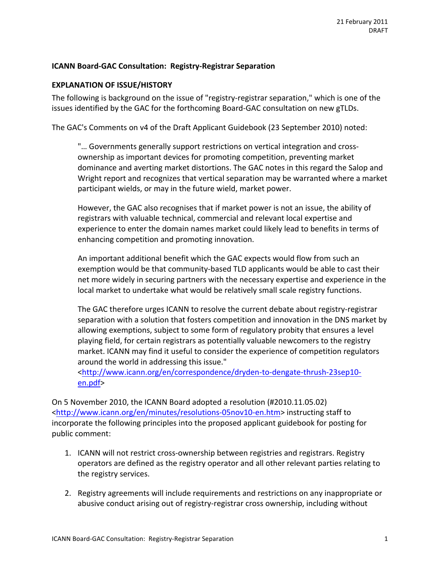#### **ICANN Board-GAC Consultation: Registry-Registrar Separation**

#### **EXPLANATION OF ISSUE/HISTORY**

The following is background on the issue of "registry-registrar separation," which is one of the issues identified by the GAC for the forthcoming Board-GAC consultation on new gTLDs.

The GAC's Comments on v4 of the Draft Applicant Guidebook (23 September 2010) noted:

"... Governments generally support restrictions on vertical integration and crossownership as important devices for promoting competition, preventing market dominance and averting market distortions. The GAC notes in this regard the Salop and Wright report and recognizes that vertical separation may be warranted where a market participant wields, or may in the future wield, market power.

However, the GAC also recognises that if market power is not an issue, the ability of registrars with valuable technical, commercial and relevant local expertise and experience to enter the domain names market could likely lead to benefits in terms of enhancing competition and promoting innovation.

An important additional benefit which the GAC expects would flow from such an exemption would be that community-based TLD applicants would be able to cast their net more widely in securing partners with the necessary expertise and experience in the local market to undertake what would be relatively small scale registry functions.

The GAC therefore urges ICANN to resolve the current debate about registry-registrar separation with a solution that fosters competition and innovation in the DNS market by allowing exemptions, subject to some form of regulatory probity that ensures a level playing field, for certain registrars as potentially valuable newcomers to the registry market. ICANN may find it useful to consider the experience of competition regulators around the world in addressing this issue."

<http://www.icann.org/en/correspondence/dryden-to-dengate-thrush-23sep10en.pdf>

On 5 November 2010, the ICANN Board adopted a resolution (#2010.11.05.02) <http://www.icann.org/en/minutes/resolutions-05nov10-en.htm> instructing staff to incorporate the following principles into the proposed applicant guidebook for posting for public comment:

- 1. ICANN will not restrict cross-ownership between registries and registrars. Registry operators are defined as the registry operator and all other relevant parties relating to the registry services.
- 2. Registry agreements will include requirements and restrictions on any inappropriate or abusive conduct arising out of registry-registrar cross ownership, including without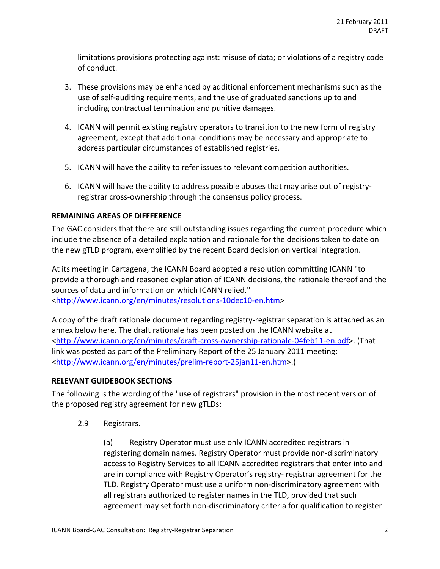limitations provisions protecting against: misuse of data; or violations of a registry code of conduct.

- 3. These provisions may be enhanced by additional enforcement mechanisms such as the use of self-auditing requirements, and the use of graduated sanctions up to and including contractual termination and punitive damages.
- 4. ICANN will permit existing registry operators to transition to the new form of registry agreement, except that additional conditions may be necessary and appropriate to address particular circumstances of established registries.
- 5. ICANN will have the ability to refer issues to relevant competition authorities.
- 6. ICANN will have the ability to address possible abuses that may arise out of registryregistrar cross-ownership through the consensus policy process.

### **REMAINING AREAS OF DIFFFERENCE**

The GAC considers that there are still outstanding issues regarding the current procedure which include the absence of a detailed explanation and rationale for the decisions taken to date on the new gTLD program, exemplified by the recent Board decision on vertical integration.

At its meeting in Cartagena, the ICANN Board adopted a resolution committing ICANN "to provide a thorough and reasoned explanation of ICANN decisions, the rationale thereof and the sources of data and information on which ICANN relied." <http://www.icann.org/en/minutes/resolutions-10dec10-en.htm>

A copy of the draft rationale document regarding registry-registrar separation is attached as an annex below here. The draft rationale has been posted on the ICANN website at <http://www.icann.org/en/minutes/draft-cross-ownership-rationale-04feb11-en.pdf>. (That link was posted as part of the Preliminary Report of the 25 January 2011 meeting: <http://www.icann.org/en/minutes/prelim-report-25jan11-en.htm>.)

#### **RELEVANT GUIDEBOOK SECTIONS**

The following is the wording of the "use of registrars" provision in the most recent version of the proposed registry agreement for new gTLDs:

2.9 Registrars.

(a) Registry Operator must use only ICANN accredited registrars in registering domain names. Registry Operator must provide non-discriminatory access to Registry Services to all ICANN accredited registrars that enter into and are in compliance with Registry Operator's registry- registrar agreement for the TLD. Registry Operator must use a uniform non-discriminatory agreement with all registrars authorized to register names in the TLD, provided that such agreement may set forth non-discriminatory criteria for qualification to register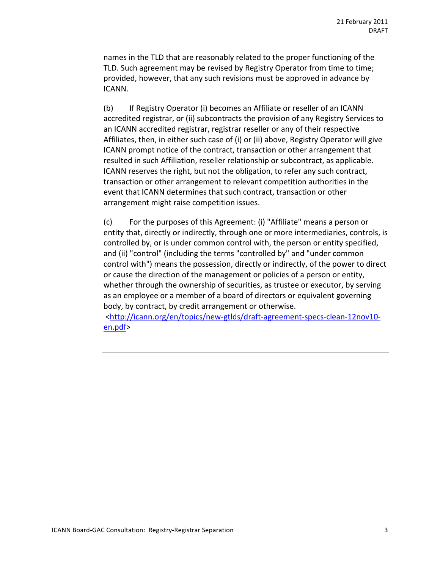names in the TLD that are reasonably related to the proper functioning of the TLD. Such agreement may be revised by Registry Operator from time to time; provided, however, that any such revisions must be approved in advance by ICANN.

(b) If Registry Operator (i) becomes an Affiliate or reseller of an ICANN accredited registrar, or (ii) subcontracts the provision of any Registry Services to an ICANN accredited registrar, registrar reseller or any of their respective Affiliates, then, in either such case of (i) or (ii) above, Registry Operator will give ICANN prompt notice of the contract, transaction or other arrangement that resulted in such Affiliation, reseller relationship or subcontract, as applicable. ICANN reserves the right, but not the obligation, to refer any such contract, transaction or other arrangement to relevant competition authorities in the event that ICANN determines that such contract, transaction or other arrangement might raise competition issues.

(c) For the purposes of this Agreement: (i) "Affiliate" means a person or entity that, directly or indirectly, through one or more intermediaries, controls, is controlled by, or is under common control with, the person or entity specified, and (ii) "control" (including the terms "controlled by" and "under common control with") means the possession, directly or indirectly, of the power to direct or cause the direction of the management or policies of a person or entity, whether through the ownership of securities, as trustee or executor, by serving as an employee or a member of a board of directors or equivalent governing body, by contract, by credit arrangement or otherwise.

<http://icann.org/en/topics/new-gtlds/draft-agreement-specs-clean-12nov10en.pdf>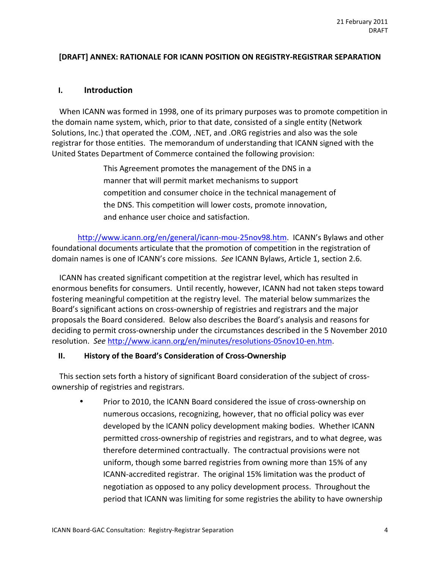#### **[DRAFT] ANNEX: RATIONALE FOR ICANN POSITION ON REGISTRY-REGISTRAR SEPARATION**

### **I. Introduction**

When ICANN was formed in 1998, one of its primary purposes was to promote competition in the domain name system, which, prior to that date, consisted of a single entity (Network Solutions, Inc.) that operated the .COM, .NET, and .ORG registries and also was the sole registrar for those entities. The memorandum of understanding that ICANN signed with the United States Department of Commerce contained the following provision:

> This Agreement promotes the management of the DNS in a manner that will permit market mechanisms to support competition and consumer choice in the technical management of the DNS. This competition will lower costs, promote innovation, and enhance user choice and satisfaction.

http://www.icann.org/en/general/icann-mou-25nov98.htm. ICANN's Bylaws and other foundational documents articulate that the promotion of competition in the registration of domain names is one of ICANN's core missions. See ICANN Bylaws, Article 1, section 2.6.

ICANN has created significant competition at the registrar level, which has resulted in enormous benefits for consumers. Until recently, however, ICANN had not taken steps toward fostering meaningful competition at the registry level. The material below summarizes the Board's significant actions on cross-ownership of registries and registrars and the major proposals the Board considered. Below also describes the Board's analysis and reasons for deciding to permit cross-ownership under the circumstances described in the 5 November 2010 resolution. See http://www.icann.org/en/minutes/resolutions-05nov10-en.htm.

#### **II. History of the Board's Consideration of Cross-Ownership**

This section sets forth a history of significant Board consideration of the subject of crossownership of registries and registrars.

Prior to 2010, the ICANN Board considered the issue of cross-ownership on numerous occasions, recognizing, however, that no official policy was ever developed by the ICANN policy development making bodies. Whether ICANN permitted cross-ownership of registries and registrars, and to what degree, was therefore determined contractually. The contractual provisions were not uniform, though some barred registries from owning more than 15% of any ICANN-accredited registrar. The original 15% limitation was the product of negotiation as opposed to any policy development process. Throughout the period that ICANN was limiting for some registries the ability to have ownership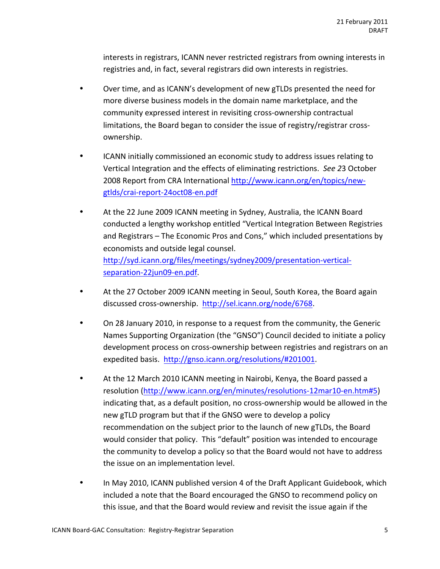interests in registrars, ICANN never restricted registrars from owning interests in registries and, in fact, several registrars did own interests in registries.

- Over time, and as ICANN's development of new gTLDs presented the need for more diverse business models in the domain name marketplace, and the community expressed interest in revisiting cross-ownership contractual limitations, the Board began to consider the issue of registry/registrar crossownership.
- ICANN initially commissioned an economic study to address issues relating to Vertical Integration and the effects of eliminating restrictions. See 23 October 2008 Report from CRA International http://www.icann.org/en/topics/newgtlds/crai-report-24oct08-en.pdf
- At the 22 June 2009 ICANN meeting in Sydney, Australia, the ICANN Board conducted a lengthy workshop entitled "Vertical Integration Between Registries and Registrars – The Economic Pros and Cons," which included presentations by economists and outside legal counsel. http://syd.icann.org/files/meetings/sydney2009/presentation-verticalseparation-22jun09-en.pdf.
- At the 27 October 2009 ICANN meeting in Seoul, South Korea, the Board again discussed cross-ownership. http://sel.icann.org/node/6768.
- On 28 January 2010, in response to a request from the community, the Generic Names Supporting Organization (the "GNSO") Council decided to initiate a policy development process on cross-ownership between registries and registrars on an expedited basis. http://gnso.icann.org/resolutions/#201001.
- At the 12 March 2010 ICANN meeting in Nairobi, Kenya, the Board passed a resolution (http://www.icann.org/en/minutes/resolutions-12mar10-en.htm#5) indicating that, as a default position, no cross-ownership would be allowed in the new gTLD program but that if the GNSO were to develop a policy recommendation on the subject prior to the launch of new gTLDs, the Board would consider that policy. This "default" position was intended to encourage the community to develop a policy so that the Board would not have to address the issue on an implementation level.
- In May 2010, ICANN published version 4 of the Draft Applicant Guidebook, which included a note that the Board encouraged the GNSO to recommend policy on this issue, and that the Board would review and revisit the issue again if the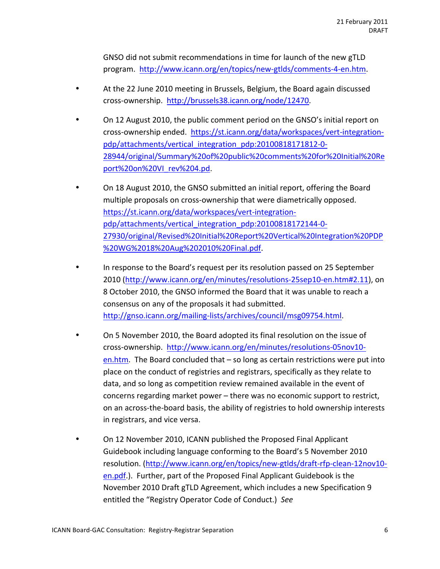GNSO did not submit recommendations in time for launch of the new gTLD program. http://www.icann.org/en/topics/new-gtlds/comments-4-en.htm.

- At the 22 June 2010 meeting in Brussels, Belgium, the Board again discussed cross-ownership. http://brussels38.icann.org/node/12470.
- On 12 August 2010, the public comment period on the GNSO's initial report on cross-ownership ended. https://st.icann.org/data/workspaces/vert-integrationpdp/attachments/vertical\_integration\_pdp:20100818171812-0-28944/original/Summary%20of%20public%20comments%20for%20Initial%20Re port%20on%20VI\_rev%204.pd.
- On 18 August 2010, the GNSO submitted an initial report, offering the Board multiple proposals on cross-ownership that were diametrically opposed. https://st.icann.org/data/workspaces/vert-integrationpdp/attachments/vertical integration pdp:20100818172144-0-27930/original/Revised%20Initial%20Report%20Vertical%20Integration%20PDP %20WG%2018%20Aug%202010%20Final.pdf.
- In response to the Board's request per its resolution passed on 25 September 2010 (http://www.icann.org/en/minutes/resolutions-25sep10-en.htm#2.11), on 8 October 2010, the GNSO informed the Board that it was unable to reach a consensus on any of the proposals it had submitted. http://gnso.icann.org/mailing-lists/archives/council/msg09754.html.
- On 5 November 2010, the Board adopted its final resolution on the issue of cross-ownership. http://www.icann.org/en/minutes/resolutions-05nov10en.htm. The Board concluded that – so long as certain restrictions were put into place on the conduct of registries and registrars, specifically as they relate to data, and so long as competition review remained available in the event of concerns regarding market power  $-$  there was no economic support to restrict, on an across-the-board basis, the ability of registries to hold ownership interests in registrars, and vice versa.
- On 12 November 2010, ICANN published the Proposed Final Applicant Guidebook including language conforming to the Board's 5 November 2010 resolution. (http://www.icann.org/en/topics/new-gtlds/draft-rfp-clean-12nov10en.pdf.). Further, part of the Proposed Final Applicant Guidebook is the November 2010 Draft gTLD Agreement, which includes a new Specification 9 entitled the "Registry Operator Code of Conduct.) See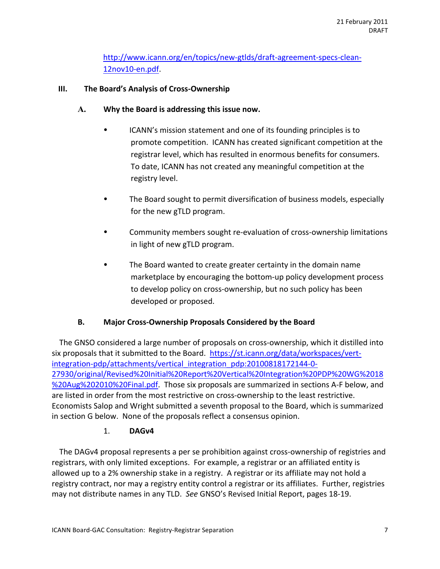http://www.icann.org/en/topics/new-gtlds/draft-agreement-specs-clean-12nov10-en.pdf.

### **III.** The Board's Analysis of Cross-Ownership

- A. Why the Board is addressing this issue now.
	- ICANN's mission statement and one of its founding principles is to promote competition. ICANN has created significant competition at the registrar level, which has resulted in enormous benefits for consumers. To date, ICANN has not created any meaningful competition at the registry level.
	- The Board sought to permit diversification of business models, especially for the new gTLD program.
	- Community members sought re-evaluation of cross-ownership limitations in light of new gTLD program.
	- The Board wanted to create greater certainty in the domain name marketplace by encouraging the bottom-up policy development process to develop policy on cross-ownership, but no such policy has been developed or proposed.

## **B.** Major Cross-Ownership Proposals Considered by the Board

The GNSO considered a large number of proposals on cross-ownership, which it distilled into six proposals that it submitted to the Board. https://st.icann.org/data/workspaces/vertintegration-pdp/attachments/vertical integration pdp:20100818172144-0-27930/original/Revised%20Initial%20Report%20Vertical%20Integration%20PDP%20WG%2018 %20Aug%202010%20Final.pdf. Those six proposals are summarized in sections A-F below, and are listed in order from the most restrictive on cross-ownership to the least restrictive. Economists Salop and Wright submitted a seventh proposal to the Board, which is summarized in section G below. None of the proposals reflect a consensus opinion.

#### 1. **DAGv4**

The DAGv4 proposal represents a per se prohibition against cross-ownership of registries and registrars, with only limited exceptions. For example, a registrar or an affiliated entity is allowed up to a 2% ownership stake in a registry. A registrar or its affiliate may not hold a registry contract, nor may a registry entity control a registrar or its affiliates. Further, registries may not distribute names in any TLD. See GNSO's Revised Initial Report, pages 18-19.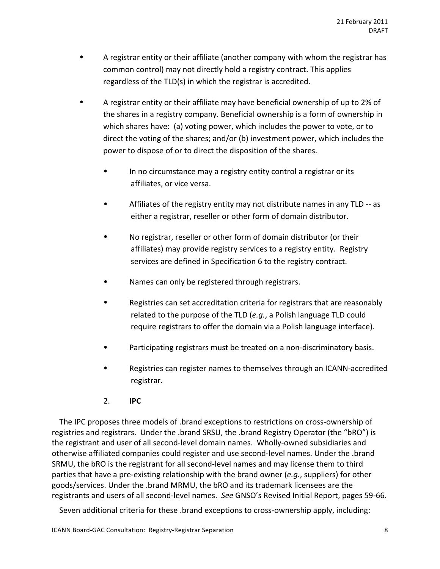- A registrar entity or their affiliate (another company with whom the registrar has common control) may not directly hold a registry contract. This applies regardless of the TLD(s) in which the registrar is accredited.
- A registrar entity or their affiliate may have beneficial ownership of up to 2% of the shares in a registry company. Beneficial ownership is a form of ownership in which shares have: (a) voting power, which includes the power to vote, or to direct the voting of the shares; and/or (b) investment power, which includes the power to dispose of or to direct the disposition of the shares.
	- In no circumstance may a registry entity control a registrar or its affiliates, or vice versa.
	- Affiliates of the registry entity may not distribute names in any TLD -- as either a registrar, reseller or other form of domain distributor.
	- No registrar, reseller or other form of domain distributor (or their affiliates) may provide registry services to a registry entity. Registry services are defined in Specification 6 to the registry contract.
	- Names can only be registered through registrars.
	- Registries can set accreditation criteria for registrars that are reasonably related to the purpose of the TLD (*e.g.*, a Polish language TLD could require registrars to offer the domain via a Polish language interface).
	- Participating registrars must be treated on a non-discriminatory basis.
	- Registries can register names to themselves through an ICANN-accredited registrar.
	- 2. **IPC**

The IPC proposes three models of .brand exceptions to restrictions on cross-ownership of registries and registrars. Under the .brand SRSU, the .brand Registry Operator (the "bRO") is the registrant and user of all second-level domain names. Wholly-owned subsidiaries and otherwise affiliated companies could register and use second-level names. Under the .brand SRMU, the bRO is the registrant for all second-level names and may license them to third parties that have a pre-existing relationship with the brand owner (*e.g.*, suppliers) for other goods/services. Under the .brand MRMU, the bRO and its trademark licensees are the registrants and users of all second-level names. See GNSO's Revised Initial Report, pages 59-66.

Seven additional criteria for these .brand exceptions to cross-ownership apply, including: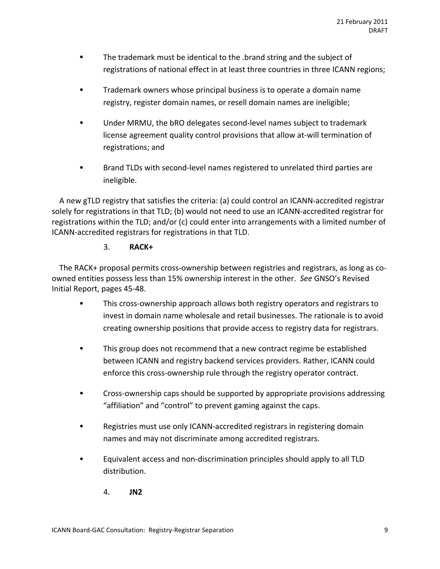- The trademark must be identical to the .brand string and the subject of registrations of national effect in at least three countries in three ICANN regions;
- Trademark owners whose principal business is to operate a domain name registry, register domain names, or resell domain names are ineligible;
- Under MRMU, the bRO delegates second-level names subject to trademark license agreement quality control provisions that allow at-will termination of registrations; and
- Brand TLDs with second-level names registered to unrelated third parties are ineligible.

A new gTLD registry that satisfies the criteria: (a) could control an ICANN-accredited registrar solely for registrations in that TLD; (b) would not need to use an ICANN-accredited registrar for registrations within the TLD; and/or (c) could enter into arrangements with a limited number of ICANN-accredited registrars for registrations in that TLD.

# 3. **RACK+**

The RACK+ proposal permits cross-ownership between registries and registrars, as long as coowned entities possess less than 15% ownership interest in the other. See GNSO's Revised Initial Report, pages 45-48.

- This cross-ownership approach allows both registry operators and registrars to invest in domain name wholesale and retail businesses. The rationale is to avoid creating ownership positions that provide access to registry data for registrars.
- This group does not recommend that a new contract regime be established between ICANN and registry backend services providers. Rather, ICANN could enforce this cross-ownership rule through the registry operator contract.
- Cross-ownership caps should be supported by appropriate provisions addressing "affiliation" and "control" to prevent gaming against the caps.
- Registries must use only ICANN-accredited registrars in registering domain names and may not discriminate among accredited registrars.
- Equivalent access and non-discrimination principles should apply to all TLD distribution.
	- 4. **JN2**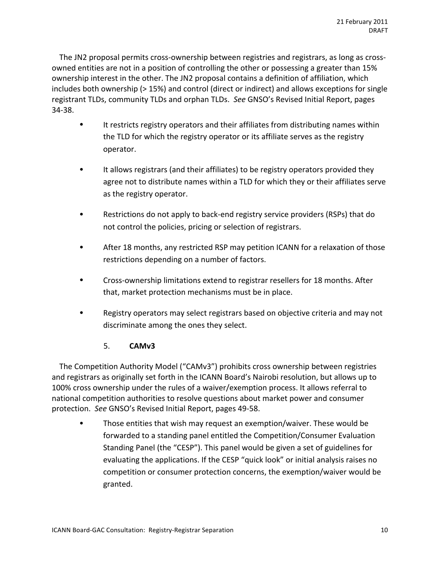The JN2 proposal permits cross-ownership between registries and registrars, as long as crossowned entities are not in a position of controlling the other or possessing a greater than 15% ownership interest in the other. The JN2 proposal contains a definition of affiliation, which includes both ownership ( $>15\%$ ) and control (direct or indirect) and allows exceptions for single registrant TLDs, community TLDs and orphan TLDs. See GNSO's Revised Initial Report, pages 34-38.

- It restricts registry operators and their affiliates from distributing names within the TLD for which the registry operator or its affiliate serves as the registry operator.
- It allows registrars (and their affiliates) to be registry operators provided they agree not to distribute names within a TLD for which they or their affiliates serve as the registry operator.
- Restrictions do not apply to back-end registry service providers (RSPs) that do not control the policies, pricing or selection of registrars.
- After 18 months, any restricted RSP may petition ICANN for a relaxation of those restrictions depending on a number of factors.
- Cross-ownership limitations extend to registrar resellers for 18 months. After that, market protection mechanisms must be in place.
- Registry operators may select registrars based on objective criteria and may not discriminate among the ones they select.

## 5. **CAMv3**

The Competition Authority Model ("CAMv3") prohibits cross ownership between registries and registrars as originally set forth in the ICANN Board's Nairobi resolution, but allows up to 100% cross ownership under the rules of a waiver/exemption process. It allows referral to national competition authorities to resolve questions about market power and consumer protection. See GNSO's Revised Initial Report, pages 49-58.

Those entities that wish may request an exemption/waiver. These would be forwarded to a standing panel entitled the Competition/Consumer Evaluation Standing Panel (the "CESP"). This panel would be given a set of guidelines for evaluating the applications. If the CESP "quick look" or initial analysis raises no competition or consumer protection concerns, the exemption/waiver would be granted.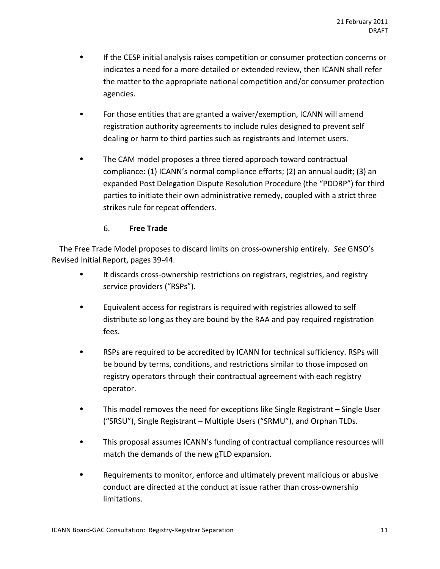- If the CESP initial analysis raises competition or consumer protection concerns or indicates a need for a more detailed or extended review, then ICANN shall refer the matter to the appropriate national competition and/or consumer protection agencies.
- For those entities that are granted a waiver/exemption, ICANN will amend registration authority agreements to include rules designed to prevent self dealing or harm to third parties such as registrants and Internet users.
- The CAM model proposes a three tiered approach toward contractual compliance: (1) ICANN's normal compliance efforts; (2) an annual audit; (3) an expanded Post Delegation Dispute Resolution Procedure (the "PDDRP") for third parties to initiate their own administrative remedy, coupled with a strict three strikes rule for repeat offenders.

### 6. **Free%Trade**

The Free Trade Model proposes to discard limits on cross-ownership entirely. See GNSO's Revised Initial Report, pages 39-44.

- It discards cross-ownership restrictions on registrars, registries, and registry service providers ("RSPs").
- Equivalent access for registrars is required with registries allowed to self distribute so long as they are bound by the RAA and pay required registration fees.
- RSPs are required to be accredited by ICANN for technical sufficiency. RSPs will be bound by terms, conditions, and restrictions similar to those imposed on registry operators through their contractual agreement with each registry operator.
- This model removes the need for exceptions like Single Registrant Single User ("SRSU"), Single Registrant – Multiple Users ("SRMU"), and Orphan TLDs.
- This proposal assumes ICANN's funding of contractual compliance resources will match the demands of the new gTLD expansion.
- Requirements to monitor, enforce and ultimately prevent malicious or abusive conduct are directed at the conduct at issue rather than cross-ownership limitations.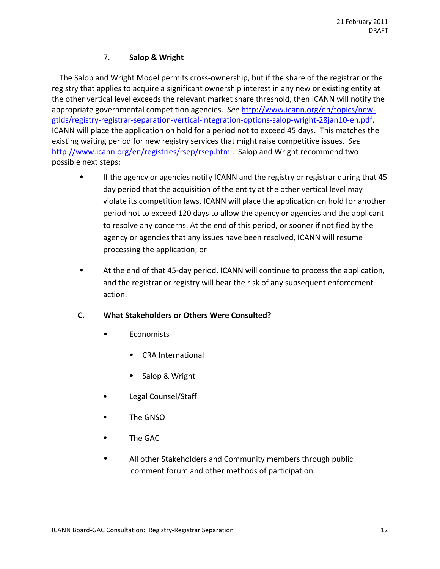## 7. **Salop%&%Wright**

The Salop and Wright Model permits cross-ownership, but if the share of the registrar or the registry that applies to acquire a significant ownership interest in any new or existing entity at the other vertical level exceeds the relevant market share threshold, then ICANN will notify the appropriate governmental competition agencies. See http://www.icann.org/en/topics/newgtlds/registry-registrar-separation-vertical-integration-options-salop-wright-28jan10-en.pdf. ICANN will place the application on hold for a period not to exceed 45 days. This matches the existing waiting period for new registry services that might raise competitive issues. See http://www.icann.org/en/registries/rsep/rsep.html. Salop and Wright recommend two possible next steps:

- If the agency or agencies notify ICANN and the registry or registrar during that 45 day period that the acquisition of the entity at the other vertical level may violate its competition laws, ICANN will place the application on hold for another period not to exceed 120 days to allow the agency or agencies and the applicant to resolve any concerns. At the end of this period, or sooner if notified by the agency or agencies that any issues have been resolved, ICANN will resume processing the application; or
- At the end of that 45-day period, ICANN will continue to process the application, and the registrar or registry will bear the risk of any subsequent enforcement action.

## **C. What Stakeholders or Others Were Consulted?**

- **Economists** 
	- CRA International
	- Salop & Wright
- Legal Counsel/Staff
- The GNSO
- The GAC
- All other Stakeholders and Community members through public comment forum and other methods of participation.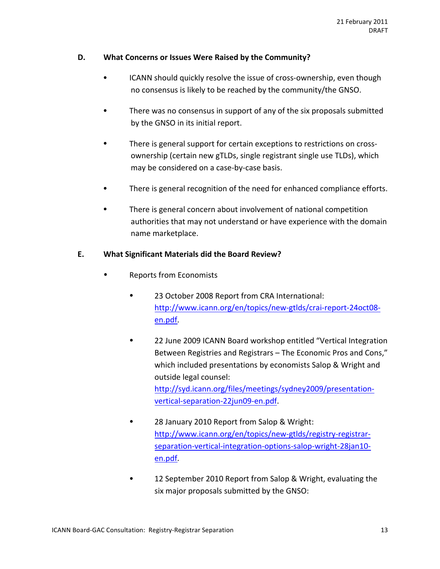### **D.** What Concerns or Issues Were Raised by the Community?

- ICANN should quickly resolve the issue of cross-ownership, even though no consensus is likely to be reached by the community/the GNSO.
- There was no consensus in support of any of the six proposals submitted by the GNSO in its initial report.
- There is general support for certain exceptions to restrictions on crossownership (certain new gTLDs, single registrant single use TLDs), which may be considered on a case-by-case basis.
- There is general recognition of the need for enhanced compliance efforts.
- There is general concern about involvement of national competition authorities that may not understand or have experience with the domain name marketplace.

#### **E. What%Significant%Materials%did%the%Board%Review?**

- Reports from Economists
	- 23 October 2008 Report from CRA International: http://www.icann.org/en/topics/new-gtlds/crai-report-24oct08en.pdf.
	- 22 June 2009 ICANN Board workshop entitled "Vertical Integration Between Registries and Registrars – The Economic Pros and Cons," which included presentations by economists Salop & Wright and outside legal counsel: http://syd.icann.org/files/meetings/sydney2009/presentationvertical-separation-22jun09-en.pdf.
	- 28 January 2010 Report from Salop & Wright: http://www.icann.org/en/topics/new-gtlds/registry-registrarseparation-vertical-integration-options-salop-wright-28jan10en.pdf.
	- 12 September 2010 Report from Salop & Wright, evaluating the six major proposals submitted by the GNSO: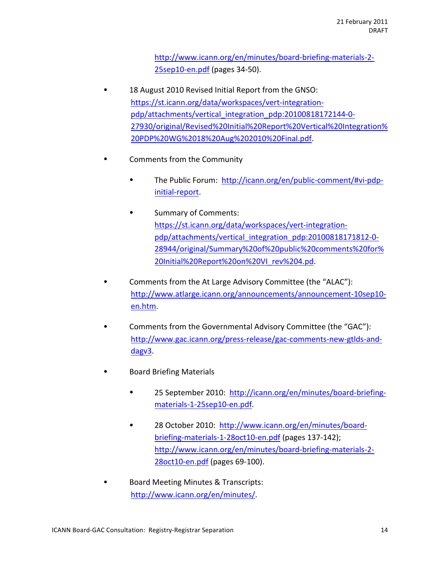http://www.icann.org/en/minutes/board-briefing-materials-2- $25$ sep10-en.pdf (pages 34-50).

- 18 August 2010 Revised Initial Report from the GNSO: https://st.icann.org/data/workspaces/vert-integrationpdp/attachments/vertical integration pdp:20100818172144-0-27930/original/Revised%20Initial%20Report%20Vertical%20Integration% 20PDP%20WG%2018%20Aug%202010%20Final.pdf.
- Comments from the Community
	- The Public Forum: http://icann.org/en/public-comment/#vi-pdpinitial-report.
	- Summary of Comments: https://st.icann.org/data/workspaces/vert-integrationpdp/attachments/vertical integration pdp:20100818171812-0-28944/original/Summary%20of%20public%20comments%20for% 20Initial%20Report%20on%20VI\_rev%204.pd.
- Comments from the At Large Advisory Committee (the "ALAC"): http://www.atlarge.icann.org/announcements/announcement-10sep10en.htm.
- Comments from the Governmental Advisory Committee (the "GAC"): http://www.gac.icann.org/press-release/gac-comments-new-gtlds-anddagv3.
- **Board Briefing Materials** 
	- 25 September 2010: http://icann.org/en/minutes/board-briefingmaterials-1-25sep10-en.pdf.
	- 28 October 2010: http://www.icann.org/en/minutes/boardbriefing-materials-1-28oct10-en.pdf (pages 137-142); http://www.icann.org/en/minutes/board-briefing-materials-2-28oct10-en.pdf (pages 69-100).
- Board Meeting Minutes & Transcripts: http://www.icann.org/en/minutes/.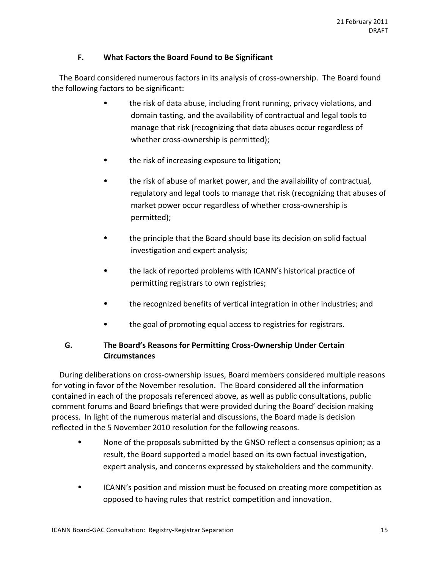### **F. What Factors the Board Found to Be Significant**

The Board considered numerous factors in its analysis of cross-ownership. The Board found the following factors to be significant:

- the risk of data abuse, including front running, privacy violations, and domain tasting, and the availability of contractual and legal tools to manage that risk (recognizing that data abuses occur regardless of whether cross-ownership is permitted);
- the risk of increasing exposure to litigation;
- the risk of abuse of market power, and the availability of contractual, regulatory and legal tools to manage that risk (recognizing that abuses of market power occur regardless of whether cross-ownership is permitted);
- the principle that the Board should base its decision on solid factual investigation and expert analysis;
- the lack of reported problems with ICANN's historical practice of permitting registrars to own registries;
- the recognized benefits of vertical integration in other industries; and
- the goal of promoting equal access to registries for registrars.

## **G.** The Board's Reasons for Permitting Cross-Ownership Under Certain **Circumstances**

During deliberations on cross-ownership issues, Board members considered multiple reasons for voting in favor of the November resolution. The Board considered all the information contained in each of the proposals referenced above, as well as public consultations, public comment forums and Board briefings that were provided during the Board' decision making process. In light of the numerous material and discussions, the Board made is decision reflected in the 5 November 2010 resolution for the following reasons.

- None of the proposals submitted by the GNSO reflect a consensus opinion; as a result, the Board supported a model based on its own factual investigation, expert analysis, and concerns expressed by stakeholders and the community.
- ICANN's position and mission must be focused on creating more competition as opposed to having rules that restrict competition and innovation.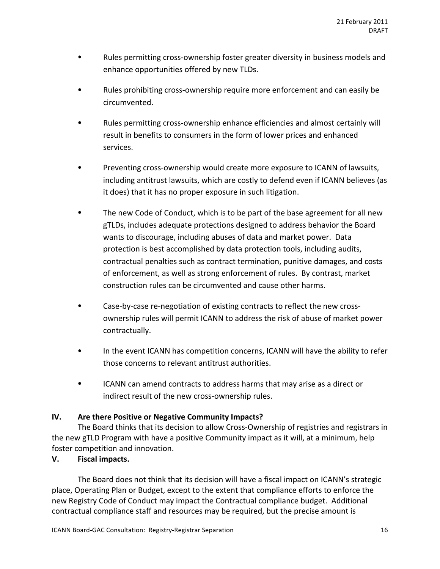- Rules permitting cross-ownership foster greater diversity in business models and enhance opportunities offered by new TLDs.
- Rules prohibiting cross-ownership require more enforcement and can easily be circumvented.
- Rules permitting cross-ownership enhance efficiencies and almost certainly will result in benefits to consumers in the form of lower prices and enhanced services.
- Preventing cross-ownership would create more exposure to ICANN of lawsuits, including antitrust lawsuits, which are costly to defend even if ICANN believes (as it does) that it has no proper exposure in such litigation.
- The new Code of Conduct, which is to be part of the base agreement for all new gTLDs, includes adequate protections designed to address behavior the Board wants to discourage, including abuses of data and market power. Data protection is best accomplished by data protection tools, including audits, contractual penalties such as contract termination, punitive damages, and costs of enforcement, as well as strong enforcement of rules. By contrast, market construction rules can be circumvented and cause other harms.
- Case-by-case re-negotiation of existing contracts to reflect the new crossownership rules will permit ICANN to address the risk of abuse of market power contractually.
- In the event ICANN has competition concerns, ICANN will have the ability to refer those concerns to relevant antitrust authorities.
- ICANN can amend contracts to address harms that may arise as a direct or indirect result of the new cross-ownership rules.

## **IV.** Are there Positive or Negative Community Impacts?

The Board thinks that its decision to allow Cross-Ownership of registries and registrars in the new gTLD Program with have a positive Community impact as it will, at a minimum, help foster competition and innovation.

## **V. Fiscal impacts.**

The Board does not think that its decision will have a fiscal impact on ICANN's strategic place, Operating Plan or Budget, except to the extent that compliance efforts to enforce the new Registry Code of Conduct may impact the Contractual compliance budget. Additional contractual compliance staff and resources may be required, but the precise amount is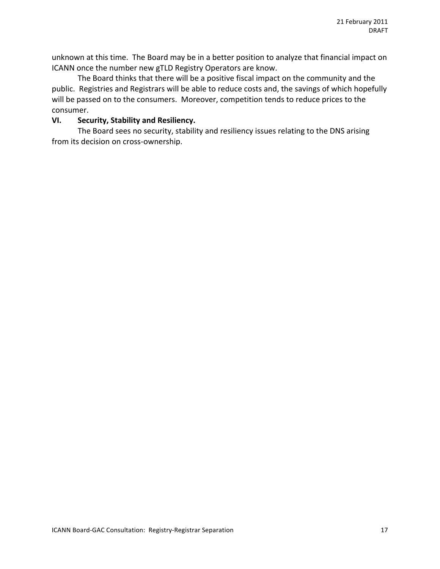unknown at this time. The Board may be in a better position to analyze that financial impact on ICANN once the number new gTLD Registry Operators are know.

The Board thinks that there will be a positive fiscal impact on the community and the public. Registries and Registrars will be able to reduce costs and, the savings of which hopefully will be passed on to the consumers. Moreover, competition tends to reduce prices to the consumer.

### **VI.** Security, Stability and Resiliency.

The Board sees no security, stability and resiliency issues relating to the DNS arising from its decision on cross-ownership.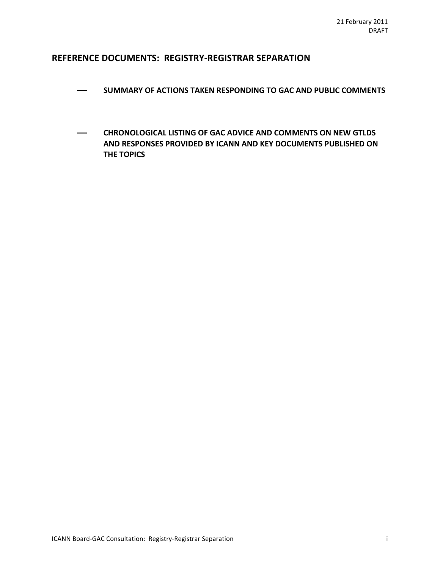### **REFERENCE DOCUMENTS: REGISTRY-REGISTRAR SEPARATION**

- $-$  SUMMARY OF ACTIONS TAKEN RESPONDING TO GAC AND PUBLIC COMMENTS
- **CHRONOLOGICAL LISTING OF GAC ADVICE AND COMMENTS ON NEW GTLDS AND RESPONSES PROVIDED BY ICANN AND KEY DOCUMENTS PUBLISHED ON THE TOPICS**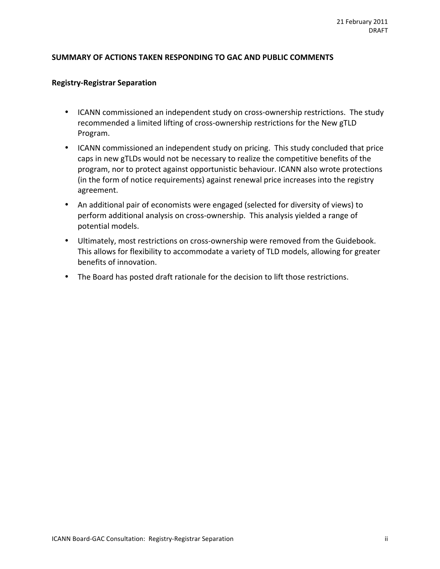#### SUMMARY OF ACTIONS TAKEN RESPONDING TO GAC AND PUBLIC COMMENTS

#### **Registry-Registrar Separation**

- ICANN commissioned an independent study on cross-ownership restrictions. The study recommended a limited lifting of cross-ownership restrictions for the New gTLD Program.
- ICANN commissioned an independent study on pricing. This study concluded that price caps in new gTLDs would not be necessary to realize the competitive benefits of the program, nor to protect against opportunistic behaviour. ICANN also wrote protections (in the form of notice requirements) against renewal price increases into the registry agreement.
- An additional pair of economists were engaged (selected for diversity of views) to perform additional analysis on cross-ownership. This analysis yielded a range of potential models.
- Ultimately, most restrictions on cross-ownership were removed from the Guidebook. This allows for flexibility to accommodate a variety of TLD models, allowing for greater benefits of innovation.
- The Board has posted draft rationale for the decision to lift those restrictions.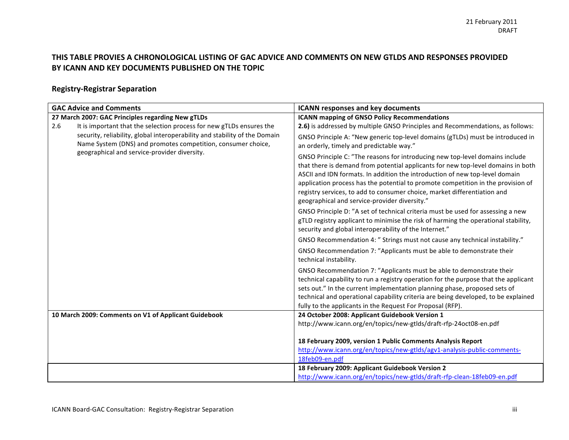### THIS TABLE PROVIES A CHRONOLOGICAL LISTING OF GAC ADVICE AND COMMENTS ON NEW GTLDS AND RESPONSES PROVIDED BY ICANN AND KEY DOCUMENTS PUBLISHED ON THE TOPIC

# **Registry?Registrar%Separation**

| <b>GAC Advice and Comments</b>                                                                                                             | <b>ICANN responses and key documents</b>                                                                                                                                                                                                                                                                                                                                                                                                                         |
|--------------------------------------------------------------------------------------------------------------------------------------------|------------------------------------------------------------------------------------------------------------------------------------------------------------------------------------------------------------------------------------------------------------------------------------------------------------------------------------------------------------------------------------------------------------------------------------------------------------------|
| 27 March 2007: GAC Principles regarding New gTLDs                                                                                          | <b>ICANN mapping of GNSO Policy Recommendations</b>                                                                                                                                                                                                                                                                                                                                                                                                              |
| It is important that the selection process for new gTLDs ensures the<br>2.6                                                                | 2.6) is addressed by multiple GNSO Principles and Recommendations, as follows:                                                                                                                                                                                                                                                                                                                                                                                   |
| security, reliability, global interoperability and stability of the Domain<br>Name System (DNS) and promotes competition, consumer choice, | GNSO Principle A: "New generic top-level domains (gTLDs) must be introduced in<br>an orderly, timely and predictable way."                                                                                                                                                                                                                                                                                                                                       |
| geographical and service-provider diversity.                                                                                               | GNSO Principle C: "The reasons for introducing new top-level domains include<br>that there is demand from potential applicants for new top-level domains in both<br>ASCII and IDN formats. In addition the introduction of new top-level domain<br>application process has the potential to promote competition in the provision of<br>registry services, to add to consumer choice, market differentiation and<br>geographical and service-provider diversity." |
|                                                                                                                                            | GNSO Principle D: "A set of technical criteria must be used for assessing a new<br>gTLD registry applicant to minimise the risk of harming the operational stability,<br>security and global interoperability of the Internet."                                                                                                                                                                                                                                  |
|                                                                                                                                            | GNSO Recommendation 4: " Strings must not cause any technical instability."                                                                                                                                                                                                                                                                                                                                                                                      |
|                                                                                                                                            | GNSO Recommendation 7: "Applicants must be able to demonstrate their<br>technical instability.                                                                                                                                                                                                                                                                                                                                                                   |
|                                                                                                                                            | GNSO Recommendation 7: "Applicants must be able to demonstrate their<br>technical capability to run a registry operation for the purpose that the applicant<br>sets out." In the current implementation planning phase, proposed sets of<br>technical and operational capability criteria are being developed, to be explained<br>fully to the applicants in the Request For Proposal (RFP).                                                                     |
| 10 March 2009: Comments on V1 of Applicant Guidebook                                                                                       | 24 October 2008: Applicant Guidebook Version 1                                                                                                                                                                                                                                                                                                                                                                                                                   |
|                                                                                                                                            | http://www.icann.org/en/topics/new-gtlds/draft-rfp-24oct08-en.pdf                                                                                                                                                                                                                                                                                                                                                                                                |
|                                                                                                                                            |                                                                                                                                                                                                                                                                                                                                                                                                                                                                  |
|                                                                                                                                            | 18 February 2009, version 1 Public Comments Analysis Report                                                                                                                                                                                                                                                                                                                                                                                                      |
|                                                                                                                                            | http://www.icann.org/en/topics/new-gtlds/agv1-analysis-public-comments-                                                                                                                                                                                                                                                                                                                                                                                          |
|                                                                                                                                            | 18feb09-en.pdf                                                                                                                                                                                                                                                                                                                                                                                                                                                   |
|                                                                                                                                            | 18 February 2009: Applicant Guidebook Version 2                                                                                                                                                                                                                                                                                                                                                                                                                  |
|                                                                                                                                            | http://www.icann.org/en/topics/new-gtlds/draft-rfp-clean-18feb09-en.pdf                                                                                                                                                                                                                                                                                                                                                                                          |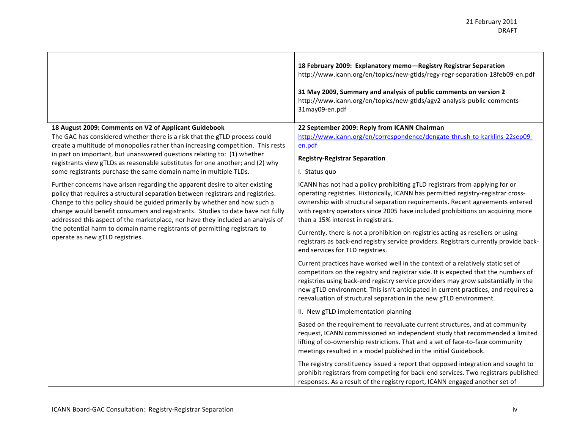|                                                                                                                                                                                                                                                                                                                                                                                                                                                                                                 | 18 February 2009: Explanatory memo-Registry Registrar Separation<br>http://www.icann.org/en/topics/new-gtlds/regy-regr-separation-18feb09-en.pdf<br>31 May 2009, Summary and analysis of public comments on version 2<br>http://www.icann.org/en/topics/new-gtlds/agv2-analysis-public-comments-<br>31may09-en.pdf                                                                                                                                                                                                                                  |
|-------------------------------------------------------------------------------------------------------------------------------------------------------------------------------------------------------------------------------------------------------------------------------------------------------------------------------------------------------------------------------------------------------------------------------------------------------------------------------------------------|-----------------------------------------------------------------------------------------------------------------------------------------------------------------------------------------------------------------------------------------------------------------------------------------------------------------------------------------------------------------------------------------------------------------------------------------------------------------------------------------------------------------------------------------------------|
| 18 August 2009: Comments on V2 of Applicant Guidebook<br>The GAC has considered whether there is a risk that the gTLD process could<br>create a multitude of monopolies rather than increasing competition. This rests<br>in part on important, but unanswered questions relating to: (1) whether<br>registrants view gTLDs as reasonable substitutes for one another; and (2) why<br>some registrants purchase the same domain name in multiple TLDs.                                          | 22 September 2009: Reply from ICANN Chairman<br>http://www.icann.org/en/correspondence/dengate-thrush-to-karklins-22sep09-<br>en.pdf<br><b>Registry-Registrar Separation</b><br>I. Status quo                                                                                                                                                                                                                                                                                                                                                       |
| Further concerns have arisen regarding the apparent desire to alter existing<br>policy that requires a structural separation between registrars and registries.<br>Change to this policy should be guided primarily by whether and how such a<br>change would benefit consumers and registrants. Studies to date have not fully<br>addressed this aspect of the marketplace, nor have they included an analysis of<br>the potential harm to domain name registrants of permitting registrars to | ICANN has not had a policy prohibiting gTLD registrars from applying for or<br>operating registries. Historically, ICANN has permitted registry-registrar cross-<br>ownership with structural separation requirements. Recent agreements entered<br>with registry operators since 2005 have included prohibitions on acquiring more<br>than a 15% interest in registrars.<br>Currently, there is not a prohibition on registries acting as resellers or using                                                                                       |
| operate as new gTLD registries.                                                                                                                                                                                                                                                                                                                                                                                                                                                                 | registrars as back-end registry service providers. Registrars currently provide back-<br>end services for TLD registries.<br>Current practices have worked well in the context of a relatively static set of<br>competitors on the registry and registrar side. It is expected that the numbers of<br>registries using back-end registry service providers may grow substantially in the<br>new gTLD environment. This isn't anticipated in current practices, and requires a<br>reevaluation of structural separation in the new gTLD environment. |
|                                                                                                                                                                                                                                                                                                                                                                                                                                                                                                 | II. New gTLD implementation planning<br>Based on the requirement to reevaluate current structures, and at community<br>request, ICANN commissioned an independent study that recommended a limited<br>lifting of co-ownership restrictions. That and a set of face-to-face community<br>meetings resulted in a model published in the initial Guidebook.                                                                                                                                                                                            |
|                                                                                                                                                                                                                                                                                                                                                                                                                                                                                                 | The registry constituency issued a report that opposed integration and sought to<br>prohibit registrars from competing for back-end services. Two registrars published<br>responses. As a result of the registry report, ICANN engaged another set of                                                                                                                                                                                                                                                                                               |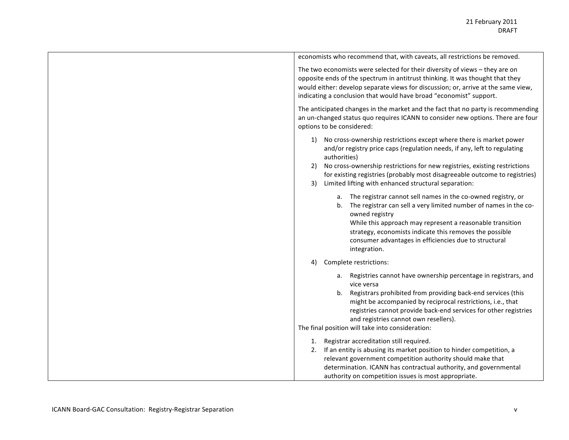| economists who recommend that, with caveats, all restrictions be removed.                                                                                                                                                                                                                                                                                                                        |
|--------------------------------------------------------------------------------------------------------------------------------------------------------------------------------------------------------------------------------------------------------------------------------------------------------------------------------------------------------------------------------------------------|
| The two economists were selected for their diversity of views - they are on<br>opposite ends of the spectrum in antitrust thinking. It was thought that they<br>would either: develop separate views for discussion; or, arrive at the same view,<br>indicating a conclusion that would have broad "economist" support.                                                                          |
| The anticipated changes in the market and the fact that no party is recommending<br>an un-changed status quo requires ICANN to consider new options. There are four<br>options to be considered:                                                                                                                                                                                                 |
| 1) No cross-ownership restrictions except where there is market power<br>and/or registry price caps (regulation needs, if any, left to regulating<br>authorities)<br>No cross-ownership restrictions for new registries, existing restrictions<br>2)<br>for existing registries (probably most disagreeable outcome to registries)<br>Limited lifting with enhanced structural separation:<br>3) |
| a. The registrar cannot sell names in the co-owned registry, or<br>The registrar can sell a very limited number of names in the co-<br>b.<br>owned registry<br>While this approach may represent a reasonable transition<br>strategy, economists indicate this removes the possible<br>consumer advantages in efficiencies due to structural<br>integration.                                     |
| Complete restrictions:<br>4)                                                                                                                                                                                                                                                                                                                                                                     |
| Registries cannot have ownership percentage in registrars, and<br>а.<br>vice versa<br>Registrars prohibited from providing back-end services (this<br>b.<br>might be accompanied by reciprocal restrictions, i.e., that<br>registries cannot provide back-end services for other registries<br>and registries cannot own resellers).<br>The final position will take into consideration:         |
| 1. Registrar accreditation still required.<br>2. If an entity is abusing its market position to hinder competition, a<br>relevant government competition authority should make that<br>determination. ICANN has contractual authority, and governmental<br>authority on competition issues is most appropriate.                                                                                  |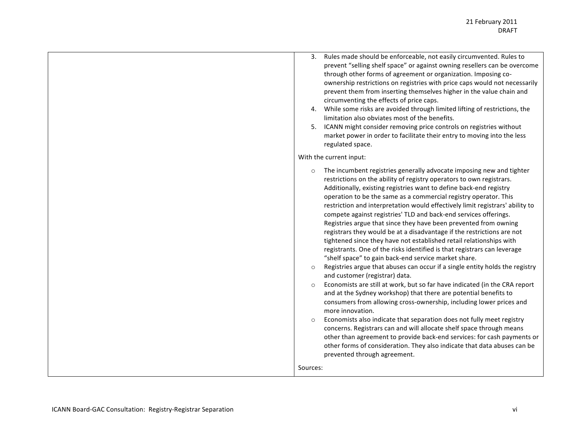| Rules made should be enforceable, not easily circumvented. Rules to<br>3.<br>prevent "selling shelf space" or against owning resellers can be overcome<br>through other forms of agreement or organization. Imposing co-<br>ownership restrictions on registries with price caps would not necessarily<br>prevent them from inserting themselves higher in the value chain and<br>circumventing the effects of price caps.<br>4. While some risks are avoided through limited lifting of restrictions, the<br>limitation also obviates most of the benefits.<br>5. ICANN might consider removing price controls on registries without<br>market power in order to facilitate their entry to moving into the less<br>regulated space.                                                                                                                                                                                                                                                                                                                                                                                                                                                                                                                                                                                                                                                                                                                                                                                                                    |
|---------------------------------------------------------------------------------------------------------------------------------------------------------------------------------------------------------------------------------------------------------------------------------------------------------------------------------------------------------------------------------------------------------------------------------------------------------------------------------------------------------------------------------------------------------------------------------------------------------------------------------------------------------------------------------------------------------------------------------------------------------------------------------------------------------------------------------------------------------------------------------------------------------------------------------------------------------------------------------------------------------------------------------------------------------------------------------------------------------------------------------------------------------------------------------------------------------------------------------------------------------------------------------------------------------------------------------------------------------------------------------------------------------------------------------------------------------------------------------------------------------------------------------------------------------|
| With the current input:                                                                                                                                                                                                                                                                                                                                                                                                                                                                                                                                                                                                                                                                                                                                                                                                                                                                                                                                                                                                                                                                                                                                                                                                                                                                                                                                                                                                                                                                                                                                 |
| The incumbent registries generally advocate imposing new and tighter<br>$\circ$<br>restrictions on the ability of registry operators to own registrars.<br>Additionally, existing registries want to define back-end registry<br>operation to be the same as a commercial registry operator. This<br>restriction and interpretation would effectively limit registrars' ability to<br>compete against registries' TLD and back-end services offerings.<br>Registries argue that since they have been prevented from owning<br>registrars they would be at a disadvantage if the restrictions are not<br>tightened since they have not established retail relationships with<br>registrants. One of the risks identified is that registrars can leverage<br>"shelf space" to gain back-end service market share.<br>Registries argue that abuses can occur if a single entity holds the registry<br>$\circ$<br>and customer (registrar) data.<br>Economists are still at work, but so far have indicated (in the CRA report<br>$\circ$<br>and at the Sydney workshop) that there are potential benefits to<br>consumers from allowing cross-ownership, including lower prices and<br>more innovation.<br>Economists also indicate that separation does not fully meet registry<br>$\circ$<br>concerns. Registrars can and will allocate shelf space through means<br>other than agreement to provide back-end services: for cash payments or<br>other forms of consideration. They also indicate that data abuses can be<br>prevented through agreement. |
| Sources:                                                                                                                                                                                                                                                                                                                                                                                                                                                                                                                                                                                                                                                                                                                                                                                                                                                                                                                                                                                                                                                                                                                                                                                                                                                                                                                                                                                                                                                                                                                                                |
|                                                                                                                                                                                                                                                                                                                                                                                                                                                                                                                                                                                                                                                                                                                                                                                                                                                                                                                                                                                                                                                                                                                                                                                                                                                                                                                                                                                                                                                                                                                                                         |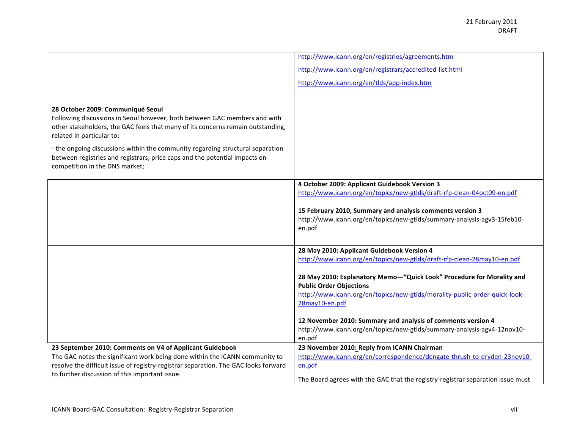|                                                                                                                                                                                                                                                                                                                                                                                                                                  | http://www.icann.org/en/registries/agreements.htm                                                       |
|----------------------------------------------------------------------------------------------------------------------------------------------------------------------------------------------------------------------------------------------------------------------------------------------------------------------------------------------------------------------------------------------------------------------------------|---------------------------------------------------------------------------------------------------------|
|                                                                                                                                                                                                                                                                                                                                                                                                                                  | http://www.icann.org/en/registrars/accredited-list.html                                                 |
|                                                                                                                                                                                                                                                                                                                                                                                                                                  | http://www.icann.org/en/tlds/app-index.htm                                                              |
|                                                                                                                                                                                                                                                                                                                                                                                                                                  |                                                                                                         |
| 28 October 2009: Communiqué Seoul<br>Following discussions in Seoul however, both between GAC members and with<br>other stakeholders, the GAC feels that many of its concerns remain outstanding,<br>related in particular to:<br>- the ongoing discussions within the community regarding structural separation<br>between registries and registrars, price caps and the potential impacts on<br>competition in the DNS market; |                                                                                                         |
|                                                                                                                                                                                                                                                                                                                                                                                                                                  | 4 October 2009: Applicant Guidebook Version 3                                                           |
|                                                                                                                                                                                                                                                                                                                                                                                                                                  | http://www.icann.org/en/topics/new-gtlds/draft-rfp-clean-04oct09-en.pdf                                 |
|                                                                                                                                                                                                                                                                                                                                                                                                                                  | 15 February 2010, Summary and analysis comments version 3                                               |
|                                                                                                                                                                                                                                                                                                                                                                                                                                  | http://www.icann.org/en/topics/new-gtlds/summary-analysis-agv3-15feb10-<br>en.pdf                       |
|                                                                                                                                                                                                                                                                                                                                                                                                                                  | 28 May 2010: Applicant Guidebook Version 4                                                              |
|                                                                                                                                                                                                                                                                                                                                                                                                                                  | http://www.icann.org/en/topics/new-gtlds/draft-rfp-clean-28may10-en.pdf                                 |
|                                                                                                                                                                                                                                                                                                                                                                                                                                  | 28 May 2010: Explanatory Memo-"Quick Look" Procedure for Morality and<br><b>Public Order Objections</b> |
|                                                                                                                                                                                                                                                                                                                                                                                                                                  | http://www.icann.org/en/topics/new-gtlds/morality-public-order-quick-look-<br>28may10-en.pdf            |
|                                                                                                                                                                                                                                                                                                                                                                                                                                  | 12 November 2010: Summary and analysis of comments version 4                                            |
|                                                                                                                                                                                                                                                                                                                                                                                                                                  | http://www.icann.org/en/topics/new-gtlds/summary-analysis-agv4-12nov10-<br>en.pdf                       |
| 23 September 2010: Comments on V4 of Applicant Guidebook                                                                                                                                                                                                                                                                                                                                                                         | 23 November 2010: Reply from ICANN Chairman                                                             |
| The GAC notes the significant work being done within the ICANN community to<br>resolve the difficult issue of registry-registrar separation. The GAC looks forward                                                                                                                                                                                                                                                               | http://www.icann.org/en/correspondence/dengate-thrush-to-dryden-23nov10-<br>en.pdf                      |
| to further discussion of this important issue.                                                                                                                                                                                                                                                                                                                                                                                   |                                                                                                         |
|                                                                                                                                                                                                                                                                                                                                                                                                                                  | The Board agrees with the GAC that the registry-registrar separation issue must                         |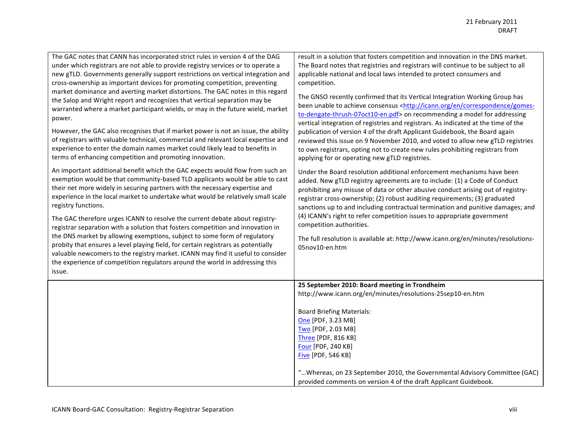| The GAC notes that CANN has incorporated strict rules in version 4 of the DAG<br>under which registrars are not able to provide registry services or to operate a<br>new gTLD. Governments generally support restrictions on vertical integration and<br>cross-ownership as important devices for promoting competition, preventing<br>market dominance and averting market distortions. The GAC notes in this regard<br>the Salop and Wright report and recognizes that vertical separation may be<br>warranted where a market participant wields, or may in the future wield, market<br>power.<br>However, the GAC also recognises that if market power is not an issue, the ability<br>of registrars with valuable technical, commercial and relevant local expertise and<br>experience to enter the domain names market could likely lead to benefits in<br>terms of enhancing competition and promoting innovation.<br>An important additional benefit which the GAC expects would flow from such an<br>exemption would be that community-based TLD applicants would be able to cast<br>their net more widely in securing partners with the necessary expertise and<br>experience in the local market to undertake what would be relatively small scale<br>registry functions.<br>The GAC therefore urges ICANN to resolve the current debate about registry-<br>registrar separation with a solution that fosters competition and innovation in<br>the DNS market by allowing exemptions, subject to some form of regulatory<br>probity that ensures a level playing field, for certain registrars as potentially<br>valuable newcomers to the registry market. ICANN may find it useful to consider<br>the experience of competition regulators around the world in addressing this<br>issue. | result in a solution that fosters competition and innovation in the DNS market.<br>The Board notes that registries and registrars will continue to be subject to all<br>applicable national and local laws intended to protect consumers and<br>competition.<br>The GNSO recently confirmed that its Vertical Integration Working Group has<br>been unable to achieve consensus <http: correspondence="" en="" gomes-<br="" icann.org="">to-dengate-thrush-07oct10-en.pdf&gt; on recommending a model for addressing<br/>vertical integration of registries and registrars. As indicated at the time of the<br/>publication of version 4 of the draft Applicant Guidebook, the Board again<br/>reviewed this issue on 9 November 2010, and voted to allow new gTLD registries<br/>to own registrars, opting not to create new rules prohibiting registrars from<br/>applying for or operating new gTLD registries.<br/>Under the Board resolution additional enforcement mechanisms have been<br/>added. New gTLD registry agreements are to include: (1) a Code of Conduct<br/>prohibiting any misuse of data or other abusive conduct arising out of registry-<br/>registrar cross-ownership; (2) robust auditing requirements; (3) graduated<br/>sanctions up to and including contractual termination and punitive damages; and<br/>(4) ICANN's right to refer competition issues to appropriate government<br/>competition authorities.<br/>The full resolution is available at: http://www.icann.org/en/minutes/resolutions-<br/>05nov10-en.htm</http:> |
|------------------------------------------------------------------------------------------------------------------------------------------------------------------------------------------------------------------------------------------------------------------------------------------------------------------------------------------------------------------------------------------------------------------------------------------------------------------------------------------------------------------------------------------------------------------------------------------------------------------------------------------------------------------------------------------------------------------------------------------------------------------------------------------------------------------------------------------------------------------------------------------------------------------------------------------------------------------------------------------------------------------------------------------------------------------------------------------------------------------------------------------------------------------------------------------------------------------------------------------------------------------------------------------------------------------------------------------------------------------------------------------------------------------------------------------------------------------------------------------------------------------------------------------------------------------------------------------------------------------------------------------------------------------------------------------------------------------------------------------------------------------------------------------------------|---------------------------------------------------------------------------------------------------------------------------------------------------------------------------------------------------------------------------------------------------------------------------------------------------------------------------------------------------------------------------------------------------------------------------------------------------------------------------------------------------------------------------------------------------------------------------------------------------------------------------------------------------------------------------------------------------------------------------------------------------------------------------------------------------------------------------------------------------------------------------------------------------------------------------------------------------------------------------------------------------------------------------------------------------------------------------------------------------------------------------------------------------------------------------------------------------------------------------------------------------------------------------------------------------------------------------------------------------------------------------------------------------------------------------------------------------------------------------------------------------------------------------------------------------------------|
|                                                                                                                                                                                                                                                                                                                                                                                                                                                                                                                                                                                                                                                                                                                                                                                                                                                                                                                                                                                                                                                                                                                                                                                                                                                                                                                                                                                                                                                                                                                                                                                                                                                                                                                                                                                                      | 25 September 2010: Board meeting in Trondheim<br>http://www.icann.org/en/minutes/resolutions-25sep10-en.htm<br><b>Board Briefing Materials:</b><br>One [PDF, 3.23 MB]<br>Two [PDF, 2.03 MB]<br>Three [PDF, 816 KB]<br>Four [PDF, 240 KB]<br><b>Five [PDF, 546 KB]</b><br>" Whereas, on 23 September 2010, the Governmental Advisory Committee (GAC)<br>provided comments on version 4 of the draft Applicant Guidebook.                                                                                                                                                                                                                                                                                                                                                                                                                                                                                                                                                                                                                                                                                                                                                                                                                                                                                                                                                                                                                                                                                                                                       |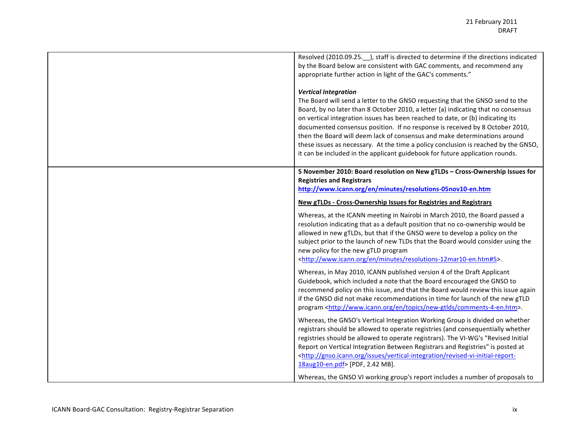| Resolved (2010.09.25. ), staff is directed to determine if the directions indicated<br>by the Board below are consistent with GAC comments, and recommend any<br>appropriate further action in light of the GAC's comments."                                                                                                                                                                                                                                                                                                                                                                                           |
|------------------------------------------------------------------------------------------------------------------------------------------------------------------------------------------------------------------------------------------------------------------------------------------------------------------------------------------------------------------------------------------------------------------------------------------------------------------------------------------------------------------------------------------------------------------------------------------------------------------------|
| <b>Vertical Integration</b><br>The Board will send a letter to the GNSO requesting that the GNSO send to the<br>Board, by no later than 8 October 2010, a letter (a) indicating that no consensus<br>on vertical integration issues has been reached to date, or (b) indicating its<br>documented consensus position. If no response is received by 8 October 2010,<br>then the Board will deem lack of consensus and make determinations around<br>these issues as necessary. At the time a policy conclusion is reached by the GNSO,<br>it can be included in the applicant guidebook for future application rounds. |
| 5 November 2010: Board resolution on New gTLDs - Cross-Ownership Issues for<br><b>Registries and Registrars</b><br>http://www.icann.org/en/minutes/resolutions-05nov10-en.htm                                                                                                                                                                                                                                                                                                                                                                                                                                          |
| <b>New gTLDs - Cross-Ownership Issues for Registries and Registrars</b>                                                                                                                                                                                                                                                                                                                                                                                                                                                                                                                                                |
| Whereas, at the ICANN meeting in Nairobi in March 2010, the Board passed a<br>resolution indicating that as a default position that no co-ownership would be<br>allowed in new gTLDs, but that if the GNSO were to develop a policy on the<br>subject prior to the launch of new TLDs that the Board would consider using the<br>new policy for the new gTLD program<br><http: en="" minutes="" resolutions-12mar10-en.htm#5="" www.icann.org="">.</http:>                                                                                                                                                             |
| Whereas, in May 2010, ICANN published version 4 of the Draft Applicant<br>Guidebook, which included a note that the Board encouraged the GNSO to<br>recommend policy on this issue, and that the Board would review this issue again<br>if the GNSO did not make recommendations in time for launch of the new gTLD<br>program <http: comments-4-en.htm="" en="" new-gtlds="" topics="" www.icann.org="">.</http:>                                                                                                                                                                                                     |
| Whereas, the GNSO's Vertical Integration Working Group is divided on whether<br>registrars should be allowed to operate registries (and consequentially whether<br>registries should be allowed to operate registrars). The VI-WG's "Revised Initial<br>Report on Vertical Integration Between Registrars and Registries" is posted at<br><http: gnso.icann.org="" issues="" revised-vi-initial-report-<br="" vertical-integration="">18aug10-en.pdf&gt; [PDF, 2.42 MB].</http:>                                                                                                                                       |
| Whereas, the GNSO VI working group's report includes a number of proposals to                                                                                                                                                                                                                                                                                                                                                                                                                                                                                                                                          |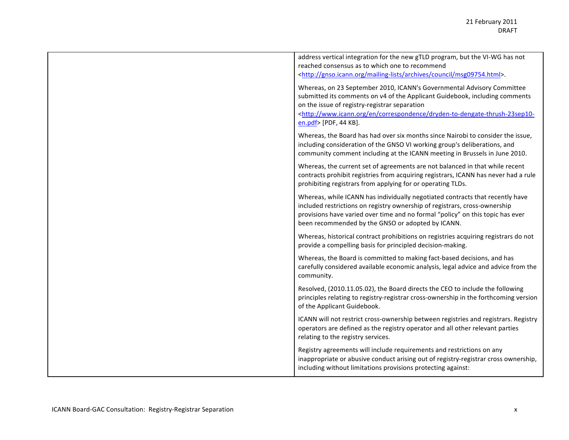| address vertical integration for the new gTLD program, but the VI-WG has not                                                                                                                                                                                                                       |
|----------------------------------------------------------------------------------------------------------------------------------------------------------------------------------------------------------------------------------------------------------------------------------------------------|
| reached consensus as to which one to recommend                                                                                                                                                                                                                                                     |
| <http: archives="" council="" gnso.icann.org="" mailing-lists="" msg09754.html="">.</http:>                                                                                                                                                                                                        |
| Whereas, on 23 September 2010, ICANN's Governmental Advisory Committee                                                                                                                                                                                                                             |
| submitted its comments on v4 of the Applicant Guidebook, including comments                                                                                                                                                                                                                        |
| on the issue of registry-registrar separation                                                                                                                                                                                                                                                      |
| <http: correspondence="" dryden-to-dengate-thrush-23sep10-<="" en="" th="" www.icann.org=""></http:>                                                                                                                                                                                               |
| en.pdf> [PDF, 44 KB].                                                                                                                                                                                                                                                                              |
| Whereas, the Board has had over six months since Nairobi to consider the issue,<br>including consideration of the GNSO VI working group's deliberations, and<br>community comment including at the ICANN meeting in Brussels in June 2010.                                                         |
| Whereas, the current set of agreements are not balanced in that while recent<br>contracts prohibit registries from acquiring registrars, ICANN has never had a rule<br>prohibiting registrars from applying for or operating TLDs.                                                                 |
| Whereas, while ICANN has individually negotiated contracts that recently have<br>included restrictions on registry ownership of registrars, cross-ownership<br>provisions have varied over time and no formal "policy" on this topic has ever<br>been recommended by the GNSO or adopted by ICANN. |
| Whereas, historical contract prohibitions on registries acquiring registrars do not<br>provide a compelling basis for principled decision-making.                                                                                                                                                  |
| Whereas, the Board is committed to making fact-based decisions, and has<br>carefully considered available economic analysis, legal advice and advice from the<br>community.                                                                                                                        |
| Resolved, (2010.11.05.02), the Board directs the CEO to include the following<br>principles relating to registry-registrar cross-ownership in the forthcoming version<br>of the Applicant Guidebook.                                                                                               |
| ICANN will not restrict cross-ownership between registries and registrars. Registry<br>operators are defined as the registry operator and all other relevant parties<br>relating to the registry services.                                                                                         |
| Registry agreements will include requirements and restrictions on any<br>inappropriate or abusive conduct arising out of registry-registrar cross ownership,<br>including without limitations provisions protecting against:                                                                       |
|                                                                                                                                                                                                                                                                                                    |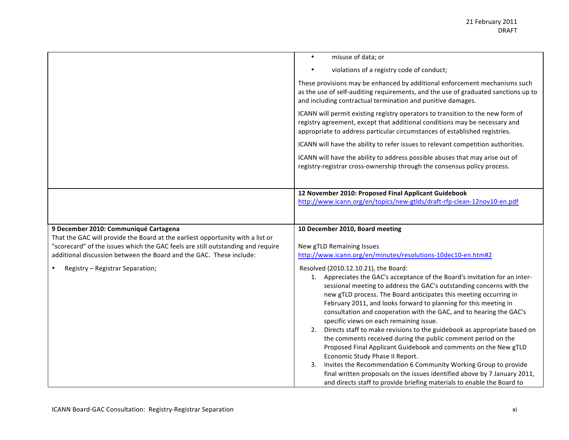|                                                                                                                                                        | misuse of data; or<br>$\bullet$                                                                                                                                                                                                            |
|--------------------------------------------------------------------------------------------------------------------------------------------------------|--------------------------------------------------------------------------------------------------------------------------------------------------------------------------------------------------------------------------------------------|
|                                                                                                                                                        | violations of a registry code of conduct;                                                                                                                                                                                                  |
|                                                                                                                                                        | These provisions may be enhanced by additional enforcement mechanisms such<br>as the use of self-auditing requirements, and the use of graduated sanctions up to<br>and including contractual termination and punitive damages.            |
|                                                                                                                                                        | ICANN will permit existing registry operators to transition to the new form of<br>registry agreement, except that additional conditions may be necessary and<br>appropriate to address particular circumstances of established registries. |
|                                                                                                                                                        | ICANN will have the ability to refer issues to relevant competition authorities.                                                                                                                                                           |
|                                                                                                                                                        | ICANN will have the ability to address possible abuses that may arise out of<br>registry-registrar cross-ownership through the consensus policy process.                                                                                   |
|                                                                                                                                                        |                                                                                                                                                                                                                                            |
|                                                                                                                                                        | 12 November 2010: Proposed Final Applicant Guidebook                                                                                                                                                                                       |
|                                                                                                                                                        | http://www.icann.org/en/topics/new-gtlds/draft-rfp-clean-12nov10-en.pdf                                                                                                                                                                    |
|                                                                                                                                                        |                                                                                                                                                                                                                                            |
|                                                                                                                                                        |                                                                                                                                                                                                                                            |
| 9 December 2010: Communiqué Cartagena                                                                                                                  | 10 December 2010, Board meeting                                                                                                                                                                                                            |
| That the GAC will provide the Board at the earliest opportunity with a list or                                                                         |                                                                                                                                                                                                                                            |
| "scorecard" of the issues which the GAC feels are still outstanding and require<br>additional discussion between the Board and the GAC. These include: | New gTLD Remaining Issues<br>http://www.icann.org/en/minutes/resolutions-10dec10-en.htm#2                                                                                                                                                  |